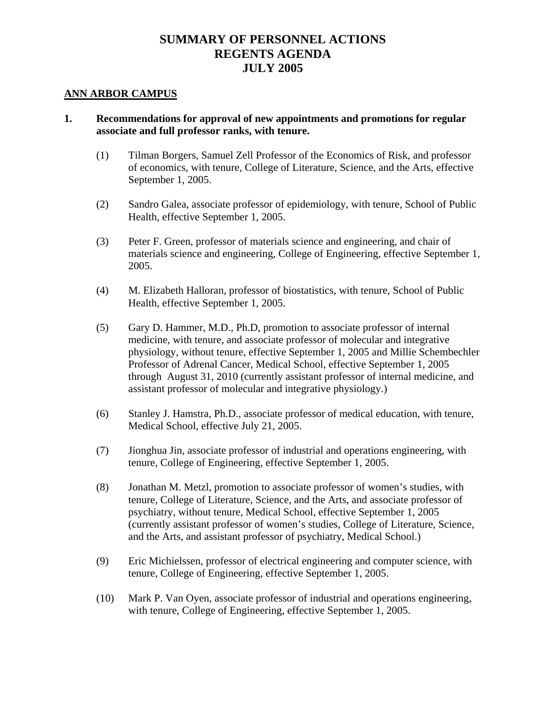#### **ANN ARBOR CAMPUS**

### **1. Recommendations for approval of new appointments and promotions for regular associate and full professor ranks, with tenure.**

- (1) Tilman Borgers, Samuel Zell Professor of the Economics of Risk, and professor of economics, with tenure, College of Literature, Science, and the Arts, effective September 1, 2005.
- (2) Sandro Galea, associate professor of epidemiology, with tenure, School of Public Health, effective September 1, 2005.
- (3) Peter F. Green, professor of materials science and engineering, and chair of materials science and engineering, College of Engineering, effective September 1, 2005.
- (4) M. Elizabeth Halloran, professor of biostatistics, with tenure, School of Public Health, effective September 1, 2005.
- (5) Gary D. Hammer, M.D., Ph.D, promotion to associate professor of internal medicine, with tenure, and associate professor of molecular and integrative physiology, without tenure, effective September 1, 2005 and Millie Schembechler Professor of Adrenal Cancer, Medical School, effective September 1, 2005 through August 31, 2010 (currently assistant professor of internal medicine, and assistant professor of molecular and integrative physiology.)
- (6) Stanley J. Hamstra, Ph.D., associate professor of medical education, with tenure, Medical School, effective July 21, 2005.
- (7) Jionghua Jin, associate professor of industrial and operations engineering, with tenure, College of Engineering, effective September 1, 2005.
- (8) Jonathan M. Metzl, promotion to associate professor of women's studies, with tenure, College of Literature, Science, and the Arts, and associate professor of psychiatry, without tenure, Medical School, effective September 1, 2005 (currently assistant professor of women's studies, College of Literature, Science, and the Arts, and assistant professor of psychiatry, Medical School.)
- (9) Eric Michielssen, professor of electrical engineering and computer science, with tenure, College of Engineering, effective September 1, 2005.
- (10) Mark P. Van Oyen, associate professor of industrial and operations engineering, with tenure, College of Engineering, effective September 1, 2005.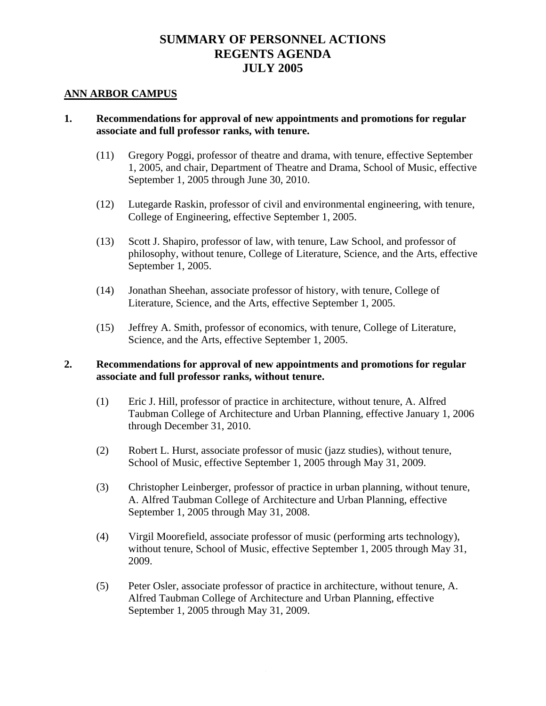#### **ANN ARBOR CAMPUS**

## **1. Recommendations for approval of new appointments and promotions for regular associate and full professor ranks, with tenure.**

- (11) Gregory Poggi, professor of theatre and drama, with tenure, effective September 1, 2005, and chair, Department of Theatre and Drama, School of Music, effective September 1, 2005 through June 30, 2010.
- (12) Lutegarde Raskin, professor of civil and environmental engineering, with tenure, College of Engineering, effective September 1, 2005.
- (13) Scott J. Shapiro, professor of law, with tenure, Law School, and professor of philosophy, without tenure, College of Literature, Science, and the Arts, effective September 1, 2005.
- (14) Jonathan Sheehan, associate professor of history, with tenure, College of Literature, Science, and the Arts, effective September 1, 2005.
- (15) Jeffrey A. Smith, professor of economics, with tenure, College of Literature, Science, and the Arts, effective September 1, 2005.

## **2. Recommendations for approval of new appointments and promotions for regular associate and full professor ranks, without tenure.**

- (1) Eric J. Hill, professor of practice in architecture, without tenure, A. Alfred Taubman College of Architecture and Urban Planning, effective January 1, 2006 through December 31, 2010.
- (2) Robert L. Hurst, associate professor of music (jazz studies), without tenure, School of Music, effective September 1, 2005 through May 31, 2009.
- (3) Christopher Leinberger, professor of practice in urban planning, without tenure, A. Alfred Taubman College of Architecture and Urban Planning, effective September 1, 2005 through May 31, 2008.
- (4) Virgil Moorefield, associate professor of music (performing arts technology), without tenure, School of Music, effective September 1, 2005 through May 31, 2009.
- (5) Peter Osler, associate professor of practice in architecture, without tenure, A. Alfred Taubman College of Architecture and Urban Planning, effective September 1, 2005 through May 31, 2009.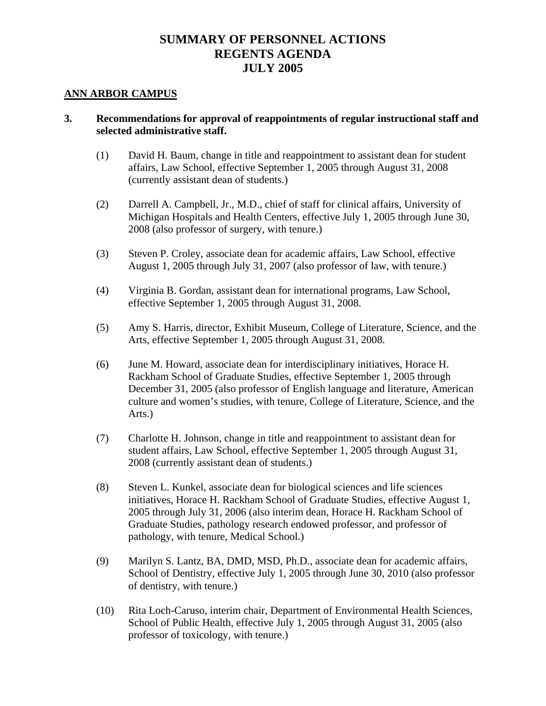#### **ANN ARBOR CAMPUS**

### **3. Recommendations for approval of reappointments of regular instructional staff and selected administrative staff.**

- (1) David H. Baum, change in title and reappointment to assistant dean for student affairs, Law School, effective September 1, 2005 through August 31, 2008 (currently assistant dean of students.)
- (2) Darrell A. Campbell, Jr., M.D., chief of staff for clinical affairs, University of Michigan Hospitals and Health Centers, effective July 1, 2005 through June 30, 2008 (also professor of surgery, with tenure.)
- (3) Steven P. Croley, associate dean for academic affairs, Law School, effective August 1, 2005 through July 31, 2007 (also professor of law, with tenure.)
- (4) Virginia B. Gordan, assistant dean for international programs, Law School, effective September 1, 2005 through August 31, 2008.
- (5) Amy S. Harris, director, Exhibit Museum, College of Literature, Science, and the Arts, effective September 1, 2005 through August 31, 2008.
- (6) June M. Howard, associate dean for interdisciplinary initiatives, Horace H. Rackham School of Graduate Studies, effective September 1, 2005 through December 31, 2005 (also professor of English language and literature, American culture and women's studies, with tenure, College of Literature, Science, and the Arts.)
- (7) Charlotte H. Johnson, change in title and reappointment to assistant dean for student affairs, Law School, effective September 1, 2005 through August 31, 2008 (currently assistant dean of students.)
- (8) Steven L. Kunkel, associate dean for biological sciences and life sciences initiatives, Horace H. Rackham School of Graduate Studies, effective August 1, 2005 through July 31, 2006 (also interim dean, Horace H. Rackham School of Graduate Studies, pathology research endowed professor, and professor of pathology, with tenure, Medical School.)
- (9) Marilyn S. Lantz, BA, DMD, MSD, Ph.D., associate dean for academic affairs, School of Dentistry, effective July 1, 2005 through June 30, 2010 (also professor of dentistry, with tenure.)
- (10) Rita Loch-Caruso, interim chair, Department of Environmental Health Sciences, School of Public Health, effective July 1, 2005 through August 31, 2005 (also professor of toxicology, with tenure.)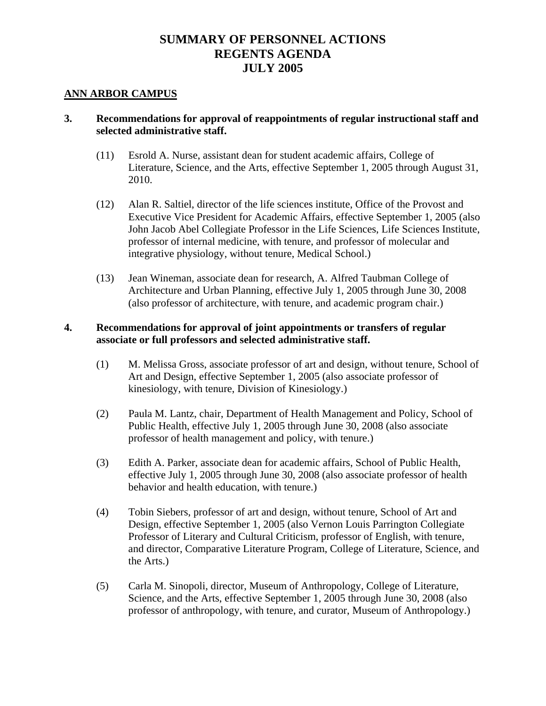#### **ANN ARBOR CAMPUS**

### **3. Recommendations for approval of reappointments of regular instructional staff and selected administrative staff.**

- (11) Esrold A. Nurse, assistant dean for student academic affairs, College of Literature, Science, and the Arts, effective September 1, 2005 through August 31, 2010.
- (12) Alan R. Saltiel, director of the life sciences institute, Office of the Provost and Executive Vice President for Academic Affairs, effective September 1, 2005 (also John Jacob Abel Collegiate Professor in the Life Sciences, Life Sciences Institute, professor of internal medicine, with tenure, and professor of molecular and integrative physiology, without tenure, Medical School.)
- (13) Jean Wineman, associate dean for research, A. Alfred Taubman College of Architecture and Urban Planning, effective July 1, 2005 through June 30, 2008 (also professor of architecture, with tenure, and academic program chair.)

## **4. Recommendations for approval of joint appointments or transfers of regular associate or full professors and selected administrative staff.**

- (1) M. Melissa Gross, associate professor of art and design, without tenure, School of Art and Design, effective September 1, 2005 (also associate professor of kinesiology, with tenure, Division of Kinesiology.)
- (2) Paula M. Lantz, chair, Department of Health Management and Policy, School of Public Health, effective July 1, 2005 through June 30, 2008 (also associate professor of health management and policy, with tenure.)
- (3) Edith A. Parker, associate dean for academic affairs, School of Public Health, effective July 1, 2005 through June 30, 2008 (also associate professor of health behavior and health education, with tenure.)
- (4) Tobin Siebers, professor of art and design, without tenure, School of Art and Design, effective September 1, 2005 (also Vernon Louis Parrington Collegiate Professor of Literary and Cultural Criticism, professor of English, with tenure, and director, Comparative Literature Program, College of Literature, Science, and the Arts.)
- (5) Carla M. Sinopoli, director, Museum of Anthropology, College of Literature, Science, and the Arts, effective September 1, 2005 through June 30, 2008 (also professor of anthropology, with tenure, and curator, Museum of Anthropology.)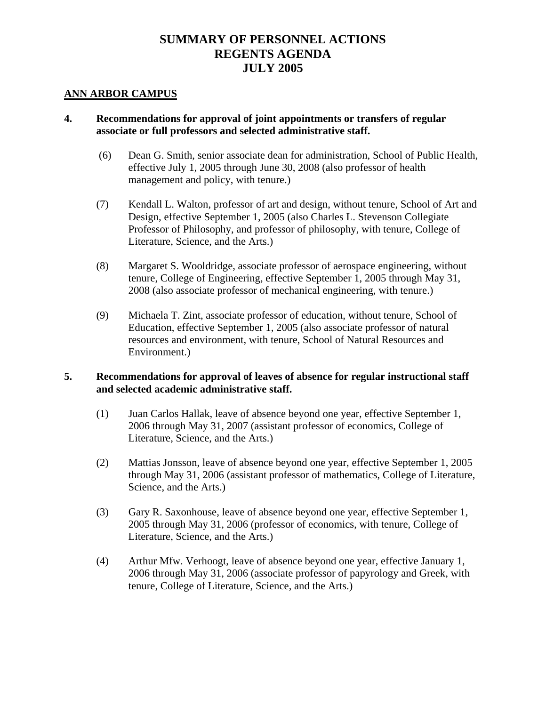#### **ANN ARBOR CAMPUS**

## **4. Recommendations for approval of joint appointments or transfers of regular associate or full professors and selected administrative staff.**

- (6) Dean G. Smith, senior associate dean for administration, School of Public Health, effective July 1, 2005 through June 30, 2008 (also professor of health management and policy, with tenure.)
- (7) Kendall L. Walton, professor of art and design, without tenure, School of Art and Design, effective September 1, 2005 (also Charles L. Stevenson Collegiate Professor of Philosophy, and professor of philosophy, with tenure, College of Literature, Science, and the Arts.)
- (8) Margaret S. Wooldridge, associate professor of aerospace engineering, without tenure, College of Engineering, effective September 1, 2005 through May 31, 2008 (also associate professor of mechanical engineering, with tenure.)
- (9) Michaela T. Zint, associate professor of education, without tenure, School of Education, effective September 1, 2005 (also associate professor of natural resources and environment, with tenure, School of Natural Resources and Environment.)

### **5. Recommendations for approval of leaves of absence for regular instructional staff and selected academic administrative staff.**

- (1) Juan Carlos Hallak, leave of absence beyond one year, effective September 1, 2006 through May 31, 2007 (assistant professor of economics, College of Literature, Science, and the Arts.)
- (2) Mattias Jonsson, leave of absence beyond one year, effective September 1, 2005 through May 31, 2006 (assistant professor of mathematics, College of Literature, Science, and the Arts.)
- (3) Gary R. Saxonhouse, leave of absence beyond one year, effective September 1, 2005 through May 31, 2006 (professor of economics, with tenure, College of Literature, Science, and the Arts.)
- (4) Arthur Mfw. Verhoogt, leave of absence beyond one year, effective January 1, 2006 through May 31, 2006 (associate professor of papyrology and Greek, with tenure, College of Literature, Science, and the Arts.)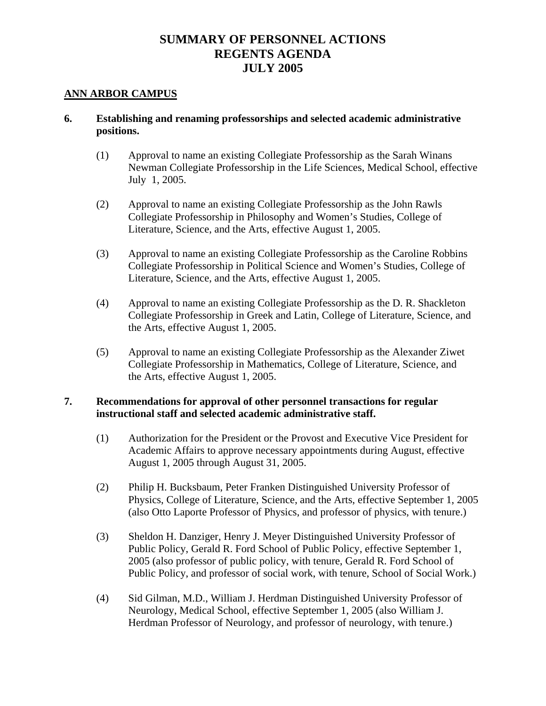### **ANN ARBOR CAMPUS**

## **6. Establishing and renaming professorships and selected academic administrative positions.**

- (1) Approval to name an existing Collegiate Professorship as the Sarah Winans Newman Collegiate Professorship in the Life Sciences, Medical School, effective July 1, 2005.
- (2) Approval to name an existing Collegiate Professorship as the John Rawls Collegiate Professorship in Philosophy and Women's Studies, College of Literature, Science, and the Arts, effective August 1, 2005.
- (3) Approval to name an existing Collegiate Professorship as the Caroline Robbins Collegiate Professorship in Political Science and Women's Studies, College of Literature, Science, and the Arts, effective August 1, 2005.
- (4) Approval to name an existing Collegiate Professorship as the D. R. Shackleton Collegiate Professorship in Greek and Latin, College of Literature, Science, and the Arts, effective August 1, 2005.
- (5) Approval to name an existing Collegiate Professorship as the Alexander Ziwet Collegiate Professorship in Mathematics, College of Literature, Science, and the Arts, effective August 1, 2005.

- (1) Authorization for the President or the Provost and Executive Vice President for Academic Affairs to approve necessary appointments during August, effective August 1, 2005 through August 31, 2005.
- (2) Philip H. Bucksbaum, Peter Franken Distinguished University Professor of Physics, College of Literature, Science, and the Arts, effective September 1, 2005 (also Otto Laporte Professor of Physics, and professor of physics, with tenure.)
- (3) Sheldon H. Danziger, Henry J. Meyer Distinguished University Professor of Public Policy, Gerald R. Ford School of Public Policy, effective September 1, 2005 (also professor of public policy, with tenure, Gerald R. Ford School of Public Policy, and professor of social work, with tenure, School of Social Work.)
- (4) Sid Gilman, M.D., William J. Herdman Distinguished University Professor of Neurology, Medical School, effective September 1, 2005 (also William J. Herdman Professor of Neurology, and professor of neurology, with tenure.)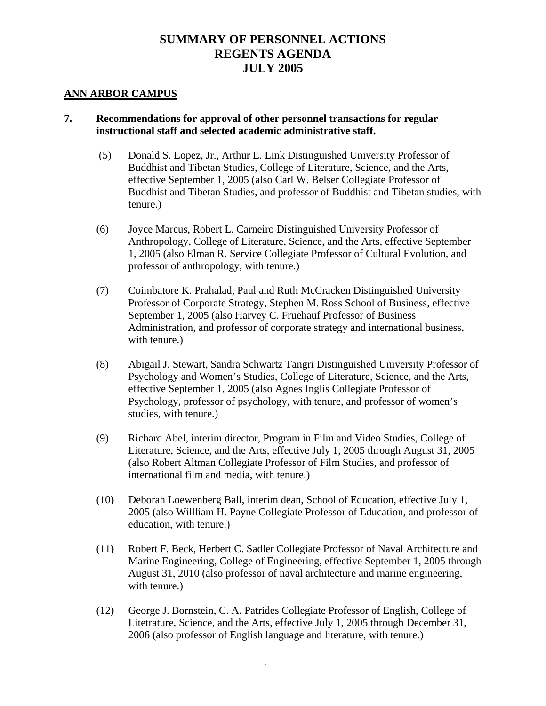#### **ANN ARBOR CAMPUS**

- (5) Donald S. Lopez, Jr., Arthur E. Link Distinguished University Professor of Buddhist and Tibetan Studies, College of Literature, Science, and the Arts, effective September 1, 2005 (also Carl W. Belser Collegiate Professor of Buddhist and Tibetan Studies, and professor of Buddhist and Tibetan studies, with tenure.)
- (6) Joyce Marcus, Robert L. Carneiro Distinguished University Professor of Anthropology, College of Literature, Science, and the Arts, effective September 1, 2005 (also Elman R. Service Collegiate Professor of Cultural Evolution, and professor of anthropology, with tenure.)
- (7) Coimbatore K. Prahalad, Paul and Ruth McCracken Distinguished University Professor of Corporate Strategy, Stephen M. Ross School of Business, effective September 1, 2005 (also Harvey C. Fruehauf Professor of Business Administration, and professor of corporate strategy and international business, with tenure.)
- (8) Abigail J. Stewart, Sandra Schwartz Tangri Distinguished University Professor of Psychology and Women's Studies, College of Literature, Science, and the Arts, effective September 1, 2005 (also Agnes Inglis Collegiate Professor of Psychology, professor of psychology, with tenure, and professor of women's studies, with tenure.)
- (9) Richard Abel, interim director, Program in Film and Video Studies, College of Literature, Science, and the Arts, effective July 1, 2005 through August 31, 2005 (also Robert Altman Collegiate Professor of Film Studies, and professor of international film and media, with tenure.)
- (10) Deborah Loewenberg Ball, interim dean, School of Education, effective July 1, 2005 (also Willliam H. Payne Collegiate Professor of Education, and professor of education, with tenure.)
- (11) Robert F. Beck, Herbert C. Sadler Collegiate Professor of Naval Architecture and Marine Engineering, College of Engineering, effective September 1, 2005 through August 31, 2010 (also professor of naval architecture and marine engineering, with tenure.)
- (12) George J. Bornstein, C. A. Patrides Collegiate Professor of English, College of Litetrature, Science, and the Arts, effective July 1, 2005 through December 31, 2006 (also professor of English language and literature, with tenure.)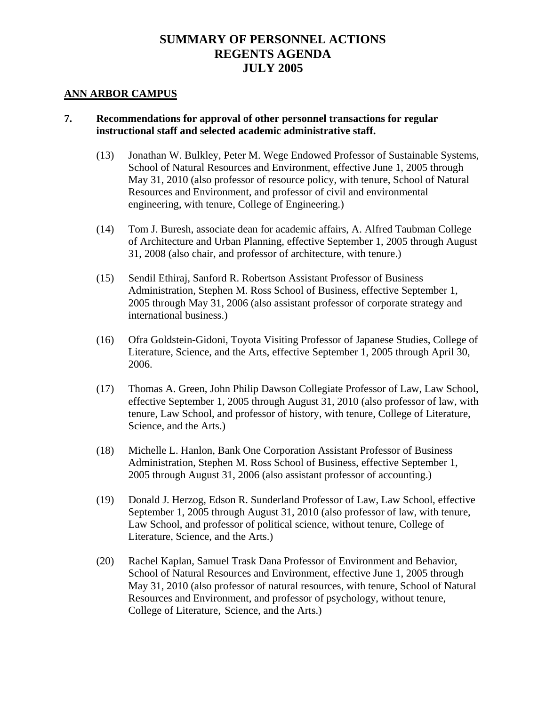#### **ANN ARBOR CAMPUS**

- (13) Jonathan W. Bulkley, Peter M. Wege Endowed Professor of Sustainable Systems, School of Natural Resources and Environment, effective June 1, 2005 through May 31, 2010 (also professor of resource policy, with tenure, School of Natural Resources and Environment, and professor of civil and environmental engineering, with tenure, College of Engineering.)
- (14) Tom J. Buresh, associate dean for academic affairs, A. Alfred Taubman College of Architecture and Urban Planning, effective September 1, 2005 through August 31, 2008 (also chair, and professor of architecture, with tenure.)
- (15) Sendil Ethiraj, Sanford R. Robertson Assistant Professor of Business Administration, Stephen M. Ross School of Business, effective September 1, 2005 through May 31, 2006 (also assistant professor of corporate strategy and international business.)
- (16) Ofra Goldstein-Gidoni, Toyota Visiting Professor of Japanese Studies, College of Literature, Science, and the Arts, effective September 1, 2005 through April 30, 2006.
- (17) Thomas A. Green, John Philip Dawson Collegiate Professor of Law, Law School, effective September 1, 2005 through August 31, 2010 (also professor of law, with tenure, Law School, and professor of history, with tenure, College of Literature, Science, and the Arts.)
- (18) Michelle L. Hanlon, Bank One Corporation Assistant Professor of Business Administration, Stephen M. Ross School of Business, effective September 1, 2005 through August 31, 2006 (also assistant professor of accounting.)
- (19) Donald J. Herzog, Edson R. Sunderland Professor of Law, Law School, effective September 1, 2005 through August 31, 2010 (also professor of law, with tenure, Law School, and professor of political science, without tenure, College of Literature, Science, and the Arts.)
- (20) Rachel Kaplan, Samuel Trask Dana Professor of Environment and Behavior, School of Natural Resources and Environment, effective June 1, 2005 through May 31, 2010 (also professor of natural resources, with tenure, School of Natural Resources and Environment, and professor of psychology, without tenure, College of Literature, Science, and the Arts.)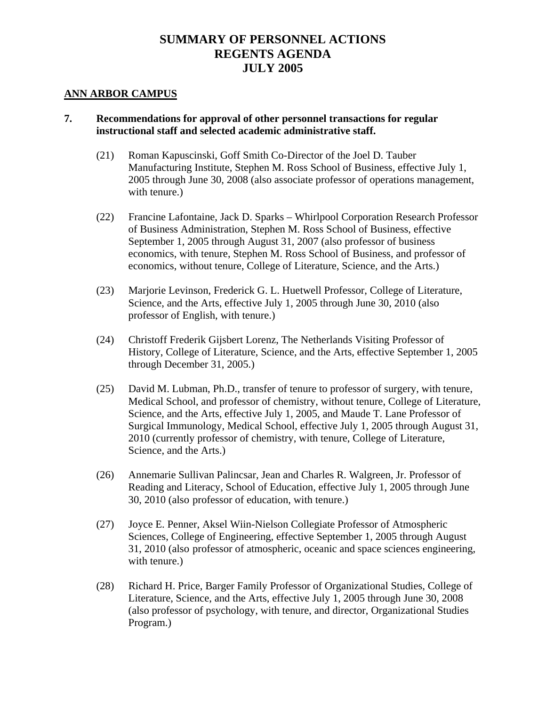#### **ANN ARBOR CAMPUS**

- (21) Roman Kapuscinski, Goff Smith Co-Director of the Joel D. Tauber Manufacturing Institute, Stephen M. Ross School of Business, effective July 1, 2005 through June 30, 2008 (also associate professor of operations management, with tenure.)
- (22) Francine Lafontaine, Jack D. Sparks Whirlpool Corporation Research Professor of Business Administration, Stephen M. Ross School of Business, effective September 1, 2005 through August 31, 2007 (also professor of business economics, with tenure, Stephen M. Ross School of Business, and professor of economics, without tenure, College of Literature, Science, and the Arts.)
- (23) Marjorie Levinson, Frederick G. L. Huetwell Professor, College of Literature, Science, and the Arts, effective July 1, 2005 through June 30, 2010 (also professor of English, with tenure.)
- (24) Christoff Frederik Gijsbert Lorenz, The Netherlands Visiting Professor of History, College of Literature, Science, and the Arts, effective September 1, 2005 through December 31, 2005.)
- (25) David M. Lubman, Ph.D., transfer of tenure to professor of surgery, with tenure, Medical School, and professor of chemistry, without tenure, College of Literature, Science, and the Arts, effective July 1, 2005, and Maude T. Lane Professor of Surgical Immunology, Medical School, effective July 1, 2005 through August 31, 2010 (currently professor of chemistry, with tenure, College of Literature, Science, and the Arts.)
- (26) Annemarie Sullivan Palincsar, Jean and Charles R. Walgreen, Jr. Professor of Reading and Literacy, School of Education, effective July 1, 2005 through June 30, 2010 (also professor of education, with tenure.)
- (27) Joyce E. Penner, Aksel Wiin-Nielson Collegiate Professor of Atmospheric Sciences, College of Engineering, effective September 1, 2005 through August 31, 2010 (also professor of atmospheric, oceanic and space sciences engineering, with tenure.)
- (28) Richard H. Price, Barger Family Professor of Organizational Studies, College of Literature, Science, and the Arts, effective July 1, 2005 through June 30, 2008 (also professor of psychology, with tenure, and director, Organizational Studies Program.)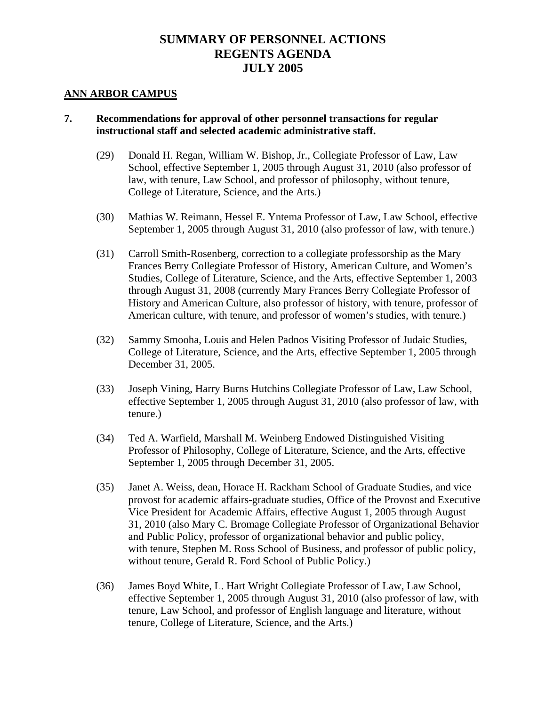#### **ANN ARBOR CAMPUS**

- (29) Donald H. Regan, William W. Bishop, Jr., Collegiate Professor of Law, Law School, effective September 1, 2005 through August 31, 2010 (also professor of law, with tenure, Law School, and professor of philosophy, without tenure, College of Literature, Science, and the Arts.)
- (30) Mathias W. Reimann, Hessel E. Yntema Professor of Law, Law School, effective September 1, 2005 through August 31, 2010 (also professor of law, with tenure.)
- (31) Carroll Smith-Rosenberg, correction to a collegiate professorship as the Mary Frances Berry Collegiate Professor of History, American Culture, and Women's Studies, College of Literature, Science, and the Arts, effective September 1, 2003 through August 31, 2008 (currently Mary Frances Berry Collegiate Professor of History and American Culture, also professor of history, with tenure, professor of American culture, with tenure, and professor of women's studies, with tenure.)
- (32) Sammy Smooha, Louis and Helen Padnos Visiting Professor of Judaic Studies, College of Literature, Science, and the Arts, effective September 1, 2005 through December 31, 2005.
- (33) Joseph Vining, Harry Burns Hutchins Collegiate Professor of Law, Law School, effective September 1, 2005 through August 31, 2010 (also professor of law, with tenure.)
- (34) Ted A. Warfield, Marshall M. Weinberg Endowed Distinguished Visiting Professor of Philosophy, College of Literature, Science, and the Arts, effective September 1, 2005 through December 31, 2005.
- (35) Janet A. Weiss, dean, Horace H. Rackham School of Graduate Studies, and vice provost for academic affairs-graduate studies, Office of the Provost and Executive Vice President for Academic Affairs, effective August 1, 2005 through August 31, 2010 (also Mary C. Bromage Collegiate Professor of Organizational Behavior and Public Policy, professor of organizational behavior and public policy, with tenure, Stephen M. Ross School of Business, and professor of public policy, without tenure, Gerald R. Ford School of Public Policy.)
- (36) James Boyd White, L. Hart Wright Collegiate Professor of Law, Law School, effective September 1, 2005 through August 31, 2010 (also professor of law, with tenure, Law School, and professor of English language and literature, without tenure, College of Literature, Science, and the Arts.)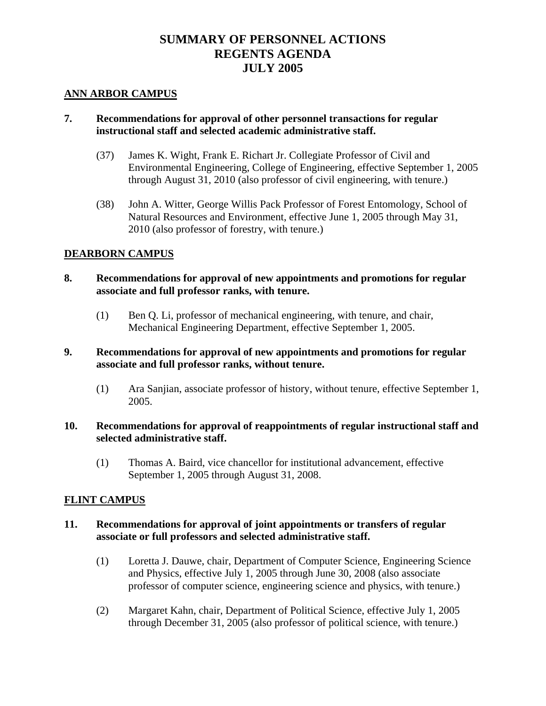### **ANN ARBOR CAMPUS**

## **7. Recommendations for approval of other personnel transactions for regular instructional staff and selected academic administrative staff.**

- (37) James K. Wight, Frank E. Richart Jr. Collegiate Professor of Civil and Environmental Engineering, College of Engineering, effective September 1, 2005 through August 31, 2010 (also professor of civil engineering, with tenure.)
- (38) John A. Witter, George Willis Pack Professor of Forest Entomology, School of Natural Resources and Environment, effective June 1, 2005 through May 31, 2010 (also professor of forestry, with tenure.)

## **DEARBORN CAMPUS**

## **8. Recommendations for approval of new appointments and promotions for regular associate and full professor ranks, with tenure.**

(1) Ben Q. Li, professor of mechanical engineering, with tenure, and chair, Mechanical Engineering Department, effective September 1, 2005.

### **9. Recommendations for approval of new appointments and promotions for regular associate and full professor ranks, without tenure.**

 (1) Ara Sanjian, associate professor of history, without tenure, effective September 1, 2005.

### **10. Recommendations for approval of reappointments of regular instructional staff and selected administrative staff.**

 (1) Thomas A. Baird, vice chancellor for institutional advancement, effective September 1, 2005 through August 31, 2008.

### **FLINT CAMPUS**

### **11. Recommendations for approval of joint appointments or transfers of regular associate or full professors and selected administrative staff.**

- (1) Loretta J. Dauwe, chair, Department of Computer Science, Engineering Science and Physics, effective July 1, 2005 through June 30, 2008 (also associate professor of computer science, engineering science and physics, with tenure.)
- (2) Margaret Kahn, chair, Department of Political Science, effective July 1, 2005 through December 31, 2005 (also professor of political science, with tenure.)